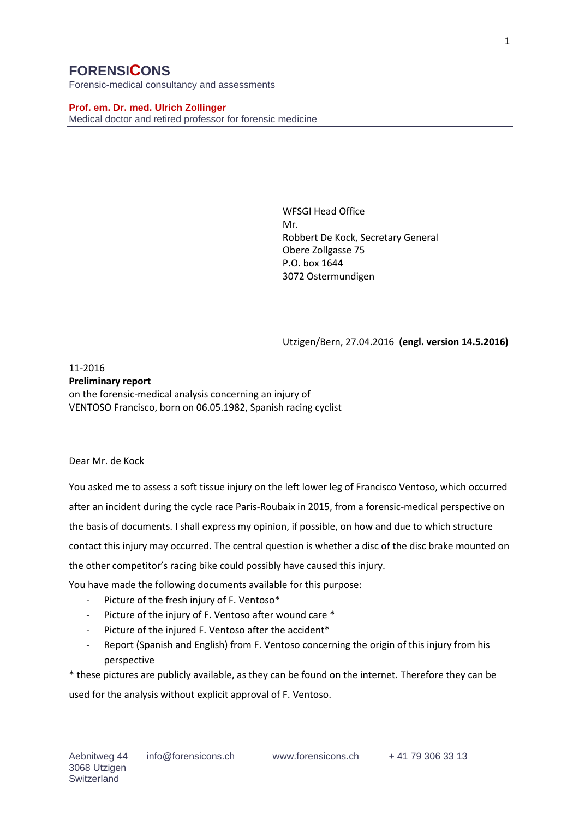# **FORENSICONS**

Forensic-medical consultancy and assessments

**Prof. em. Dr. med. Ulrich Zollinger** Medical doctor and retired professor for forensic medicine

> WFSGI Head Office Mr. Robbert De Kock, Secretary General Obere Zollgasse 75 P.O. box 1644 3072 Ostermundigen

Utzigen/Bern, 27.04.2016 **(engl. version 14.5.2016)**

### 11-2016 **Preliminary report** on the forensic-medical analysis concerning an injury of VENTOSO Francisco, born on 06.05.1982, Spanish racing cyclist

### Dear Mr. de Kock

You asked me to assess a soft tissue injury on the left lower leg of Francisco Ventoso, which occurred after an incident during the cycle race Paris-Roubaix in 2015, from a forensic-medical perspective on the basis of documents. I shall express my opinion, if possible, on how and due to which structure contact this injury may occurred. The central question is whether a disc of the disc brake mounted on the other competitor's racing bike could possibly have caused this injury.

You have made the following documents available for this purpose:

- Picture of the fresh injury of F. Ventoso\*
- Picture of the injury of F. Ventoso after wound care \*
- Picture of the injured F. Ventoso after the accident\*
- Report (Spanish and English) from F. Ventoso concerning the origin of this injury from his perspective

\* these pictures are publicly available, as they can be found on the internet. Therefore they can be

used for the analysis without explicit approval of F. Ventoso.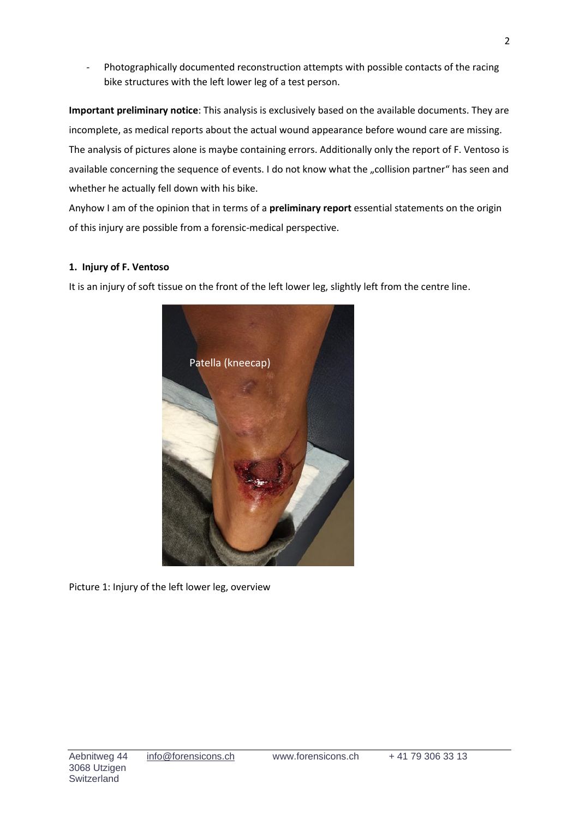- Photographically documented reconstruction attempts with possible contacts of the racing bike structures with the left lower leg of a test person.

**Important preliminary notice**: This analysis is exclusively based on the available documents. They are incomplete, as medical reports about the actual wound appearance before wound care are missing. The analysis of pictures alone is maybe containing errors. Additionally only the report of F. Ventoso is available concerning the sequence of events. I do not know what the "collision partner" has seen and whether he actually fell down with his bike.

Anyhow I am of the opinion that in terms of a **preliminary report** essential statements on the origin of this injury are possible from a forensic-medical perspective.

## **1. Injury of F. Ventoso**

It is an injury of soft tissue on the front of the left lower leg, slightly left from the centre line.



Picture 1: Injury of the left lower leg, overview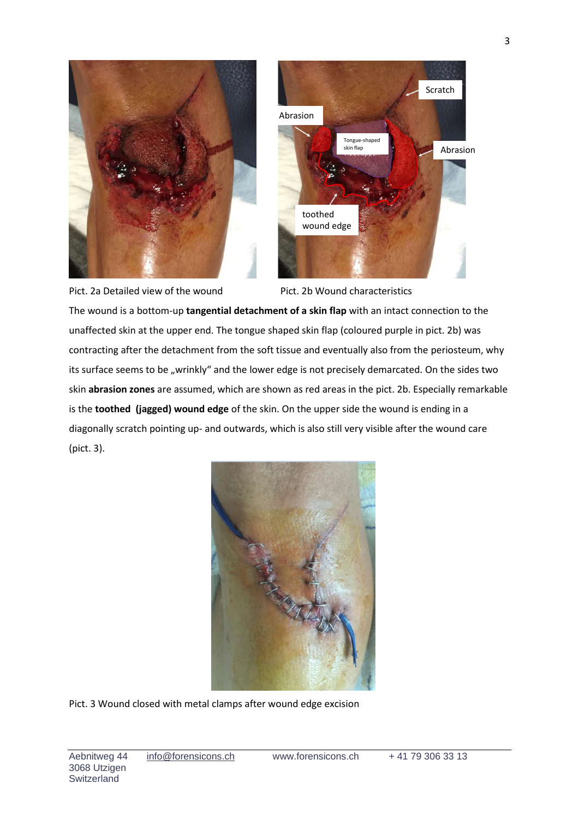



Pict. 2a Detailed view of the wound Pict. 2b Wound characteristics

The wound is a bottom-up **tangential detachment of a skin flap** with an intact connection to the unaffected skin at the upper end. The tongue shaped skin flap (coloured purple in pict. 2b) was contracting after the detachment from the soft tissue and eventually also from the periosteum, why its surface seems to be "wrinkly" and the lower edge is not precisely demarcated. On the sides two skin **abrasion zones** are assumed, which are shown as red areas in the pict. 2b. Especially remarkable is the **toothed (jagged) wound edge** of the skin. On the upper side the wound is ending in a diagonally scratch pointing up- and outwards, which is also still very visible after the wound care (pict. 3).



Pict. 3 Wound closed with metal clamps after wound edge excision

Aebnitweg 44 info@forensicons.ch www.forensicons.ch + 41 79 306 33 13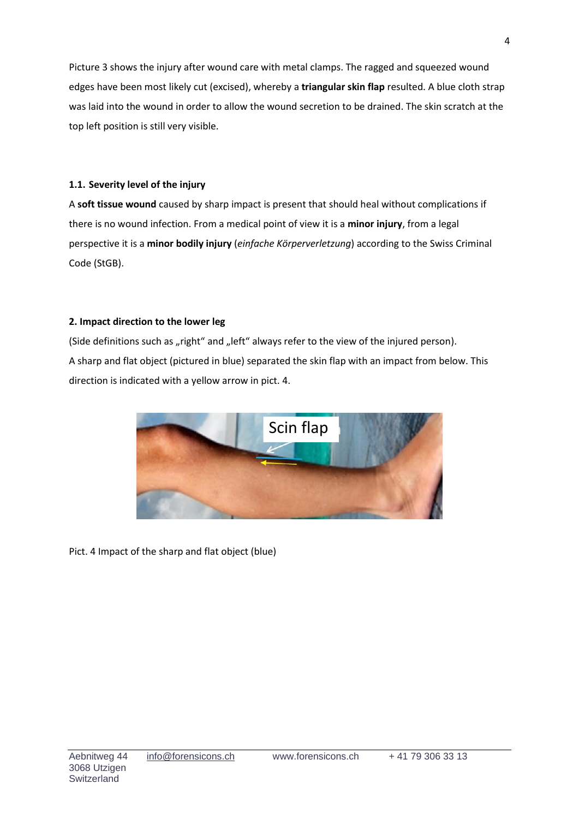Picture 3 shows the injury after wound care with metal clamps. The ragged and squeezed wound edges have been most likely cut (excised), whereby a **triangular skin flap** resulted. A blue cloth strap was laid into the wound in order to allow the wound secretion to be drained. The skin scratch at the top left position is still very visible.

## **1.1. Severity level of the injury**

A **soft tissue wound** caused by sharp impact is present that should heal without complications if there is no wound infection. From a medical point of view it is a **minor injury**, from a legal perspective it is a **minor bodily injury** (*einfache Körperverletzung*) according to the Swiss Criminal Code (StGB).

## **2. Impact direction to the lower leg**

(Side definitions such as "right" and "left" always refer to the view of the injured person). A sharp and flat object (pictured in blue) separated the skin flap with an impact from below. This direction is indicated with a yellow arrow in pict. 4.



Pict. 4 Impact of the sharp and flat object (blue)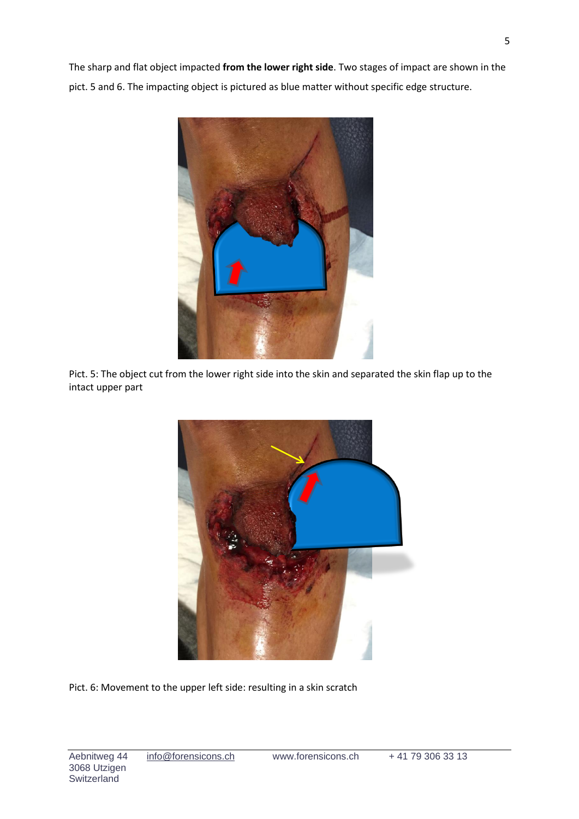The sharp and flat object impacted **from the lower right side**. Two stages of impact are shown in the pict. 5 and 6. The impacting object is pictured as blue matter without specific edge structure.



Pict. 5: The object cut from the lower right side into the skin and separated the skin flap up to the intact upper part



Pict. 6: Movement to the upper left side: resulting in a skin scratch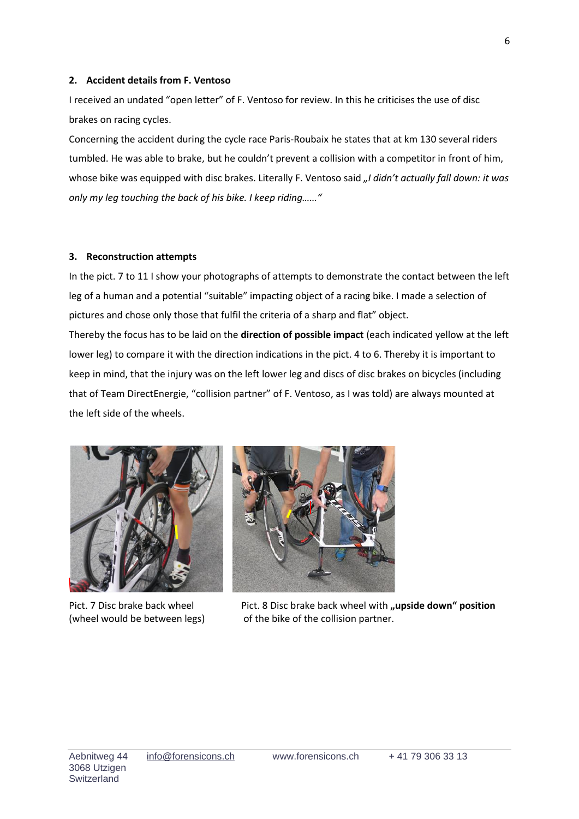#### **2. Accident details from F. Ventoso**

I received an undated "open letter" of F. Ventoso for review. In this he criticises the use of disc brakes on racing cycles.

Concerning the accident during the cycle race Paris-Roubaix he states that at km 130 several riders tumbled. He was able to brake, but he couldn't prevent a collision with a competitor in front of him, whose bike was equipped with disc brakes. Literally F. Ventoso said "I didn't actually fall down: it was *only my leg touching the back of his bike. I keep riding……"* 

#### **3. Reconstruction attempts**

In the pict. 7 to 11 I show your photographs of attempts to demonstrate the contact between the left leg of a human and a potential "suitable" impacting object of a racing bike. I made a selection of pictures and chose only those that fulfil the criteria of a sharp and flat" object.

Thereby the focus has to be laid on the **direction of possible impact** (each indicated yellow at the left lower leg) to compare it with the direction indications in the pict. 4 to 6. Thereby it is important to keep in mind, that the injury was on the left lower leg and discs of disc brakes on bicycles (including that of Team DirectEnergie, "collision partner" of F. Ventoso, as I was told) are always mounted at the left side of the wheels.





Pict. 7 Disc brake back wheel Pict. 8 Disc brake back wheel with **"upside down" position** (wheel would be between legs) of the bike of the collision partner.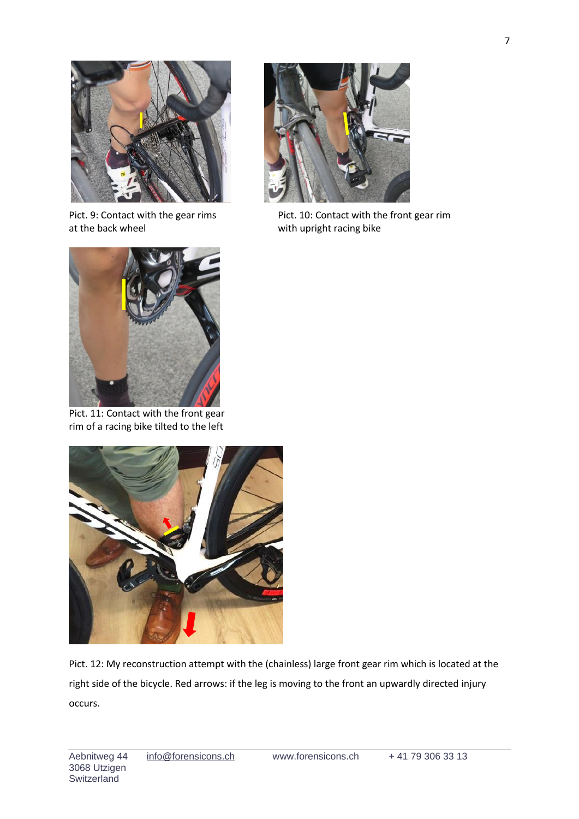

at the back wheel with upright racing bike



Pict. 9: Contact with the gear rims Pict. 10: Contact with the front gear rim



Pict. 11: Contact with the front gear rim of a racing bike tilted to the left



Pict. 12: My reconstruction attempt with the (chainless) large front gear rim which is located at the right side of the bicycle. Red arrows: if the leg is moving to the front an upwardly directed injury occurs.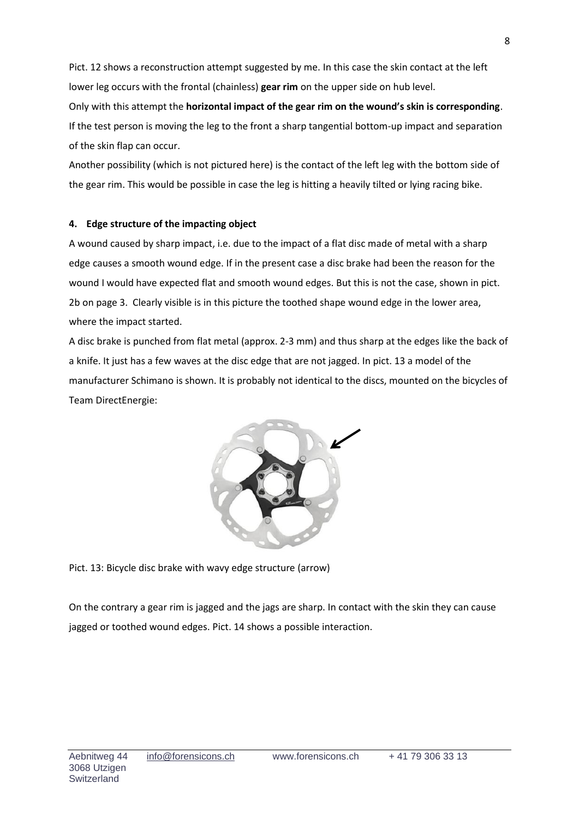Pict. 12 shows a reconstruction attempt suggested by me. In this case the skin contact at the left lower leg occurs with the frontal (chainless) **gear rim** on the upper side on hub level. Only with this attempt the **horizontal impact of the gear rim on the wound's skin is corresponding**. If the test person is moving the leg to the front a sharp tangential bottom-up impact and separation of the skin flap can occur.

Another possibility (which is not pictured here) is the contact of the left leg with the bottom side of the gear rim. This would be possible in case the leg is hitting a heavily tilted or lying racing bike.

## **4. Edge structure of the impacting object**

A wound caused by sharp impact, i.e. due to the impact of a flat disc made of metal with a sharp edge causes a smooth wound edge. If in the present case a disc brake had been the reason for the wound I would have expected flat and smooth wound edges. But this is not the case, shown in pict. 2b on page 3. Clearly visible is in this picture the toothed shape wound edge in the lower area, where the impact started.

A disc brake is punched from flat metal (approx. 2-3 mm) and thus sharp at the edges like the back of a knife. It just has a few waves at the disc edge that are not jagged. In pict. 13 a model of the manufacturer Schimano is shown. It is probably not identical to the discs, mounted on the bicycles of Team DirectEnergie:



Pict. 13: Bicycle disc brake with wavy edge structure (arrow)

On the contrary a gear rim is jagged and the jags are sharp. In contact with the skin they can cause jagged or toothed wound edges. Pict. 14 shows a possible interaction.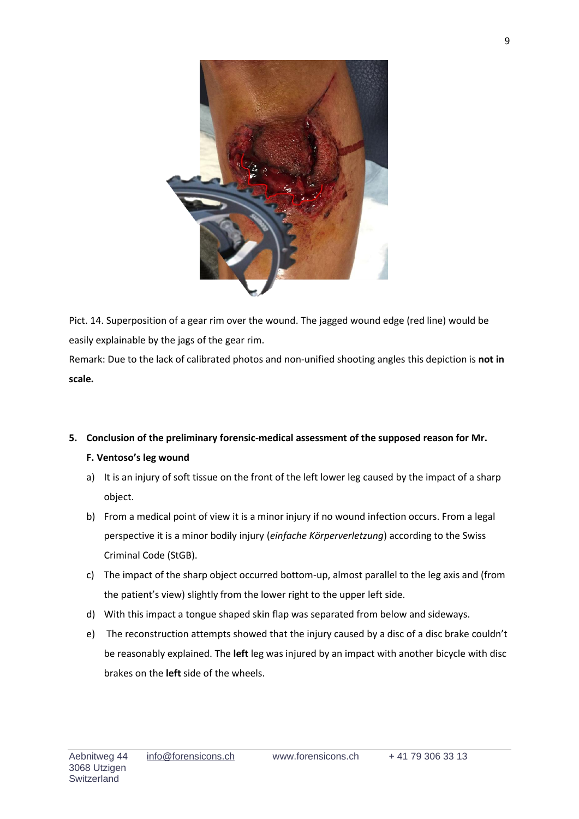

Pict. 14. Superposition of a gear rim over the wound. The jagged wound edge (red line) would be easily explainable by the jags of the gear rim.

Remark: Due to the lack of calibrated photos and non-unified shooting angles this depiction is **not in scale.**

## **5. Conclusion of the preliminary forensic-medical assessment of the supposed reason for Mr.**

## **F. Ventoso's leg wound**

- a) It is an injury of soft tissue on the front of the left lower leg caused by the impact of a sharp object.
- b) From a medical point of view it is a minor injury if no wound infection occurs. From a legal perspective it is a minor bodily injury (*einfache Körperverletzung*) according to the Swiss Criminal Code (StGB).
- c) The impact of the sharp object occurred bottom-up, almost parallel to the leg axis and (from the patient's view) slightly from the lower right to the upper left side.
- d) With this impact a tongue shaped skin flap was separated from below and sideways.
- e) The reconstruction attempts showed that the injury caused by a disc of a disc brake couldn't be reasonably explained. The **left** leg was injured by an impact with another bicycle with disc brakes on the **left** side of the wheels.